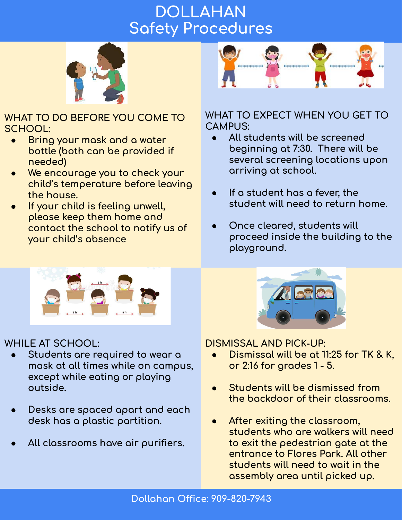# **DOLLAHAN Safety Procedures**



**WHAT TO DO BEFORE YOU COME TO SCHOOL:**

- **Bring your mask and a water bottle (both can be provided iÿ needed)**
- We encourage you to check your child's temperature before leaving **the house.**
- **If your child is feeling unwell, please keep them home and contact the school to notiÿy us oÿ your child's absence**



#### **WHAT TO EXPECT WHEN YOU GET TO CAMPUS:**

- **● All students will be screened**  beginning at 7:30. There will be several screening locations upon arriving at school.
- **If a student has a fever, the student will need to return home.**
- **● Once cleared, students will**  proceed inside the building to the playground.



## **WHILE AT SCHOOL:**

- **● Students are required to wear a mask at all times while on campus,**  except while eating or playing **outside.**
- **● Desks are spaced apart and each desk has a plastic partition.**
- **● All classrooms have air purifiers.**



### **DISMISSAL AND PICK-UP:**

- **Dismissal will be at 11:25 for TK & K,** or 2:16 for grades 1 - 5.
- **Students will be dismissed from the backdoor oÿ their classrooms.**
- After exiting the classroom, **students who are walkers will need**  to exit the pedestrian gate at the **entrance to Flores Park. All other students will need to wait in the assembly area until picked up.**